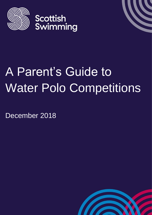



# A Parent's Guide to Water Polo Competitions

December 2018

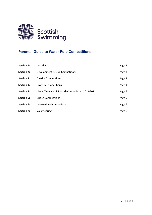

# **Parents' Guide to Water Polo Competitions**

| Section 1:        | Introduction                                       | Page 3 |
|-------------------|----------------------------------------------------|--------|
| <b>Section 2:</b> | Development & Club Competitions                    | Page 3 |
| Section 3:        | <b>District Competitions</b>                       | Page 3 |
| <b>Section 4:</b> | <b>Scottish Competitions</b>                       | Page 4 |
| <b>Section 5:</b> | Visual Timeline of Scottish Competitions 2019-2021 | Page 5 |
| <b>Section 5:</b> | <b>British Competitions</b>                        | Page 5 |
| Section 6:        | <b>International Competitions</b>                  | Page 6 |
| Section 7:        | Volunteering                                       | Page 6 |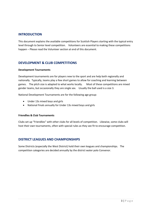# <span id="page-2-0"></span>**INTRODUCTION**

This document explains the available competitions for Scottish Players starting with the typical entry level through to Senior level competition. Volunteers are essential to making these competitions happen – Please read the Volunteer section at end of this document.

# <span id="page-2-1"></span>**DEVELOPMENT & CLUB COMPETITIONS**

#### **Development Tournaments**

Development tournaments are for players new to the sport and are help both regionally and nationally. Typically, teams play a few short games to allow for coaching and learning between games. The pitch size is adapted to what works locally. Most of these competitions are mixed gender teams, but occasionally they are single sex. Usually the ball used is a size 3.

National Development Tournaments are for the following age group:

- Under 13s mixed boys and girls
- National Finals annually for Under 13s mixed boys and girls

#### **Friendlies & Club Tournaments**

Clubs set up "Friendlies" with other clubs for all levels of competition. Likewise, some clubs will host their own tournaments, often with special rules as they see fit to encourage competition.

# <span id="page-2-2"></span>**DISTRICT LEAGUES AND CHAMPIONSHIPS**

Some Districts (especially the West District) hold their own leagues and championships. The competition categories are decided annually by the district water polo Convenor.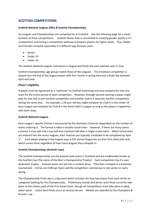# <span id="page-3-0"></span>**SCOTTISH COMPETITIONS**

#### **Scottish National Leagues (SNL) & Scottish Championships**

Six Leagues and Championships are competed for in Scotland. See the following page for a visual timeline of these competitions. Scottish Water Polo is committed to creating gender equity in it's competitions and having a competition pathway to prepare players for higher levels. Thus, Males and Females compete separately in 3 different age divisions each:

- Senior
- Under 19
- Under 16

The Scottish National Leagues commence in August and finish the next calendar year in June.

Scottish Championships age groups match those of the Leagues. This knockout competition is played near the end of the league season with first rounds in spring time and a finals day between April and June.

#### **Player's eligibility**

A player must be registered as a "swimmer" to Scottish Swimming and may compete for only one team for the entire period of each competition. However, through second claiming a player might play for one club in one Scottish competition and another club in a separate Scottish competition during the same year. For example, a 18 year old boy might compete for Club A in the Under 19 boys League and compete for Club B in the Senior Men's League so long as the player is registered with both clubs.

#### **Scottish National Leagues**

Each League's specific format is announced by the Domestic Convenor dependent on the number of teams entering it. The format is often a double round-robin. However, if there are many teams entered, it may split into a top half and a bottom half after a single round-robin. When Universities are entered into the senior leagues, their matches are typically scheduled to be completed by April 1<sup>st</sup>. Each player playing in the leagues pays a £35 annual league fee via their first claim polo club which covers them regardless of how many leagues they compete in.

#### **Scottish Championships (Scottish Cups)**

The Scottish Championships are the premier polo event in Scotland and are traditionally known as the Scottish Cup (The name of the Men's Championship Trophy). Each competition has it's own dedicated trophy. Entered teams are put into a random draw. They then compete in a knockout tournament. Entries are £100 per team and the competition commences in late winter or early spring.

The Championship Finals day is a big event which includes the final two teams from each of the six categories battling for the Championship. Preliminary rounds and Senior semi-finals currently take place at the chosen pool of the first drawn team, though all competitions must take place in deep water pools. Junior Semi-finals occur at neutral venues. Medals are awarded to the Champions & Runner's up.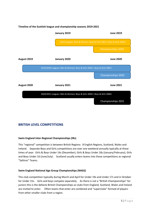#### **Timeline of the Scottish league and championship seasons 2019-2021**



# <span id="page-4-0"></span>**BRITISH LEVEL COMPETITIONS**

#### **Swim England Inter-Regional Championships (IRs)**

This "regional" competition is between British Regions: 8 English Regions, Scotland, Wales and Ireland. Separate Boys and Girls competitions are over one weekend annually typically at these times of year: Girls & Boys Under 14s (December), Girls & Boys Under 18s (January/February), Girls and Boys Under 16 (June/July). Scotland usually enters teams into these competitions as regional "Saltires" Teams.

#### **Swim England National Age Group Championships (NAGS)**

This club competition typically during March and April for Under 19s and Under 17s and in October for Under 15s. Girls and boys compete separately. As there is not a "British Championships" for juniors this is the defacto British Championships as clubs from England, Scotland, Wales and Ireland are invited to enter. Often teams that enter are combined and "superclubs" formed of players from other smaller clubs from a region.